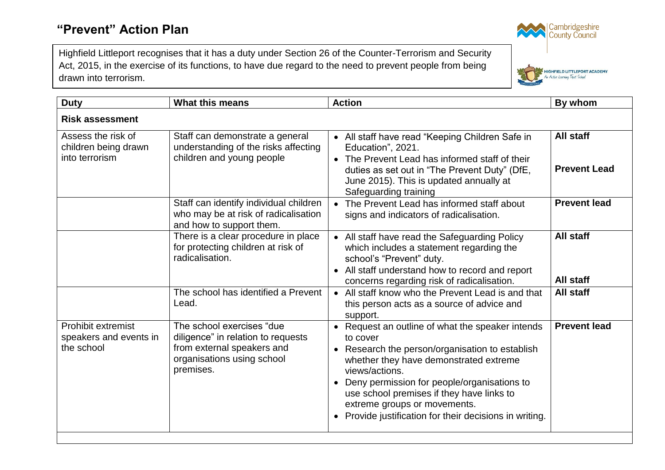Highfield Littleport recognises that it has a duty under Section 26 of the Counter-Terrorism and Security Act, 2015, in the exercise of its functions, to have due regard to the need to prevent people from being drawn into terrorism.





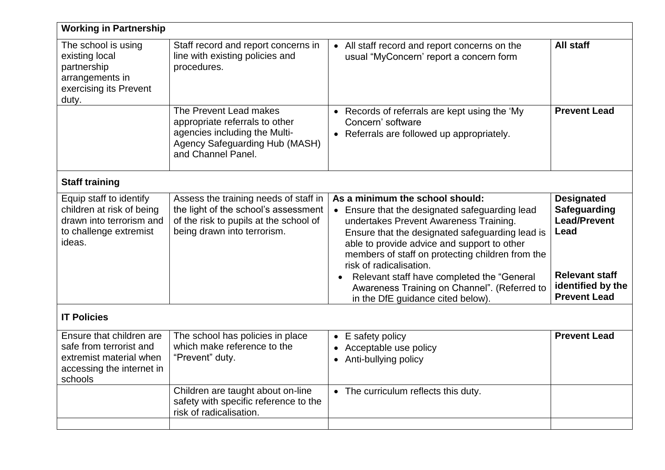| <b>Working in Partnership</b>                                                                                          |                                                                                                                                                        |                                                                                                                                                                                                                                                                                                                                                                                                                                                            |                                                                                                                                       |  |
|------------------------------------------------------------------------------------------------------------------------|--------------------------------------------------------------------------------------------------------------------------------------------------------|------------------------------------------------------------------------------------------------------------------------------------------------------------------------------------------------------------------------------------------------------------------------------------------------------------------------------------------------------------------------------------------------------------------------------------------------------------|---------------------------------------------------------------------------------------------------------------------------------------|--|
| The school is using<br>existing local<br>partnership<br>arrangements in<br>exercising its Prevent<br>duty.             | Staff record and report concerns in<br>line with existing policies and<br>procedures.                                                                  | • All staff record and report concerns on the<br>usual "MyConcern' report a concern form                                                                                                                                                                                                                                                                                                                                                                   | All staff                                                                                                                             |  |
|                                                                                                                        | The Prevent Lead makes<br>appropriate referrals to other<br>agencies including the Multi-<br>Agency Safeguarding Hub (MASH)<br>and Channel Panel.      | Records of referrals are kept using the 'My<br>$\bullet$<br>Concern' software<br>• Referrals are followed up appropriately.                                                                                                                                                                                                                                                                                                                                | <b>Prevent Lead</b>                                                                                                                   |  |
| <b>Staff training</b>                                                                                                  |                                                                                                                                                        |                                                                                                                                                                                                                                                                                                                                                                                                                                                            |                                                                                                                                       |  |
| Equip staff to identify<br>children at risk of being<br>drawn into terrorism and<br>to challenge extremist<br>ideas.   | Assess the training needs of staff in<br>the light of the school's assessment<br>of the risk to pupils at the school of<br>being drawn into terrorism. | As a minimum the school should:<br>Ensure that the designated safeguarding lead<br>$\bullet$<br>undertakes Prevent Awareness Training.<br>Ensure that the designated safeguarding lead is<br>able to provide advice and support to other<br>members of staff on protecting children from the<br>risk of radicalisation.<br>Relevant staff have completed the "General<br>Awareness Training on Channel". (Referred to<br>in the DfE guidance cited below). | <b>Designated</b><br>Safeguarding<br><b>Lead/Prevent</b><br>Lead<br><b>Relevant staff</b><br>identified by the<br><b>Prevent Lead</b> |  |
| <b>IT Policies</b>                                                                                                     |                                                                                                                                                        |                                                                                                                                                                                                                                                                                                                                                                                                                                                            |                                                                                                                                       |  |
| Ensure that children are<br>safe from terrorist and<br>extremist material when<br>accessing the internet in<br>schools | The school has policies in place<br>which make reference to the<br>"Prevent" duty.                                                                     | E safety policy<br>$\bullet$<br>Acceptable use policy<br>Anti-bullying policy<br>$\bullet$                                                                                                                                                                                                                                                                                                                                                                 | <b>Prevent Lead</b>                                                                                                                   |  |
|                                                                                                                        | Children are taught about on-line<br>safety with specific reference to the<br>risk of radicalisation.                                                  | • The curriculum reflects this duty.                                                                                                                                                                                                                                                                                                                                                                                                                       |                                                                                                                                       |  |
|                                                                                                                        |                                                                                                                                                        |                                                                                                                                                                                                                                                                                                                                                                                                                                                            |                                                                                                                                       |  |